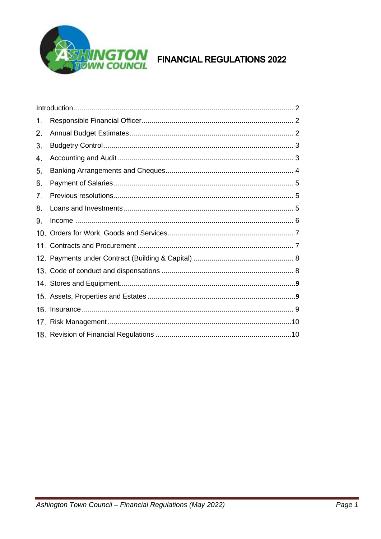

<span id="page-0-0"></span>

| 1.  |  |  |
|-----|--|--|
| 2.  |  |  |
| З.  |  |  |
| 4.  |  |  |
| 5.  |  |  |
| 6.  |  |  |
| 7.  |  |  |
| 8.  |  |  |
| 9.  |  |  |
| 10. |  |  |
| 11. |  |  |
|     |  |  |
|     |  |  |
|     |  |  |
|     |  |  |
|     |  |  |
|     |  |  |
|     |  |  |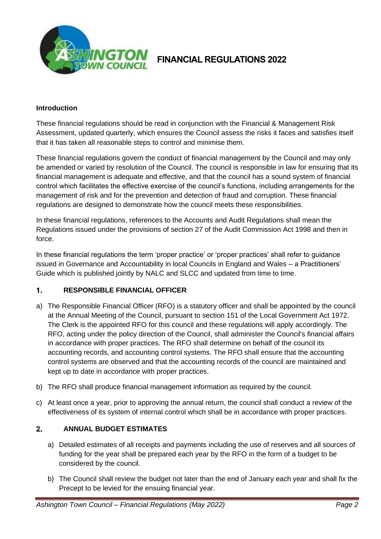

### **Introduction**

These financial regulations should be read in conjunction with the Financial & Management Risk Assessment, updated quarterly, which ensures the Council assess the risks it faces and satisfies itself that it has taken all reasonable steps to control and minimise them.

These financial regulations govern the conduct of financial management by the Council and may only be amended or varied by resolution of the Council. The council is responsible in law for ensuring that its financial management is adequate and effective, and that the council has a sound system of financial control which facilitates the effective exercise of the council's functions, including arrangements for the management of risk and for the prevention and detection of fraud and corruption. These financial regulations are designed to demonstrate how the council meets these responsibilities.

In these financial regulations, references to the Accounts and Audit Regulations shall mean the Regulations issued under the provisions of section 27 of the Audit Commission Act 1998 and then in force.

In these financial regulations the term 'proper practice' or 'proper practices' shall refer to guidance issued in Governance and Accountability in local Councils in England and Wales – a Practitioners' Guide which is published jointly by NALC and SLCC and updated from time to time.

### $1.$ **RESPONSIBLE FINANCIAL OFFICER**

- a) The Responsible Financial Officer (RFO) is a statutory officer and shall be appointed by the council at the Annual Meeting of the Council, pursuant to section 151 of the Local Government Act 1972. The Clerk is the appointed RFO for this council and these regulations will apply accordingly. The RFO, acting under the policy direction of the Council, shall administer the Council's financial affairs in accordance with proper practices. The RFO shall determine on behalf of the council its accounting records, and accounting control systems. The RFO shall ensure that the accounting control systems are observed and that the accounting records of the council are maintained and kept up to date in accordance with proper practices.
- b) The RFO shall produce financial management information as required by the council.
- c) At least once a year, prior to approving the annual return, the council shall conduct a review of the effectiveness of its system of internal control which shall be in accordance with proper practices.

### $2.$ **ANNUAL BUDGET ESTIMATES**

- a) Detailed estimates of all receipts and payments including the use of reserves and all sources of funding for the year shall be prepared each year by the RFO in the form of a budget to be considered by the council.
- b) The Council shall review the budget not later than the end of January each year and shall fix the Precept to be levied for the ensuing financial year.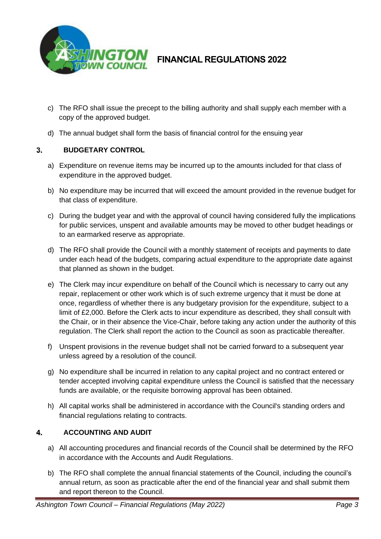

- c) The RFO shall issue the precept to the billing authority and shall supply each member with a copy of the approved budget.
- d) The annual budget shall form the basis of financial control for the ensuing year

### $3<sub>1</sub>$ **BUDGETARY CONTROL**

- a) Expenditure on revenue items may be incurred up to the amounts included for that class of expenditure in the approved budget.
- b) No expenditure may be incurred that will exceed the amount provided in the revenue budget for that class of expenditure.
- c) During the budget year and with the approval of council having considered fully the implications for public services, unspent and available amounts may be moved to other budget headings or to an earmarked reserve as appropriate.
- d) The RFO shall provide the Council with a monthly statement of receipts and payments to date under each head of the budgets, comparing actual expenditure to the appropriate date against that planned as shown in the budget.
- e) The Clerk may incur expenditure on behalf of the Council which is necessary to carry out any repair, replacement or other work which is of such extreme urgency that it must be done at once, regardless of whether there is any budgetary provision for the expenditure, subject to a limit of £2,000. Before the Clerk acts to incur expenditure as described, they shall consult with the Chair, or in their absence the Vice-Chair, before taking any action under the authority of this regulation. The Clerk shall report the action to the Council as soon as practicable thereafter.
- f) Unspent provisions in the revenue budget shall not be carried forward to a subsequent year unless agreed by a resolution of the council.
- g) No expenditure shall be incurred in relation to any capital project and no contract entered or tender accepted involving capital expenditure unless the Council is satisfied that the necessary funds are available, or the requisite borrowing approval has been obtained.
- h) All capital works shall be administered in accordance with the Council's standing orders and financial regulations relating to contracts.

### 4. **ACCOUNTING AND AUDIT**

- a) All accounting procedures and financial records of the Council shall be determined by the RFO in accordance with the Accounts and Audit Regulations.
- b) The RFO shall complete the annual financial statements of the Council, including the council's annual return, as soon as practicable after the end of the financial year and shall submit them and report thereon to the Council.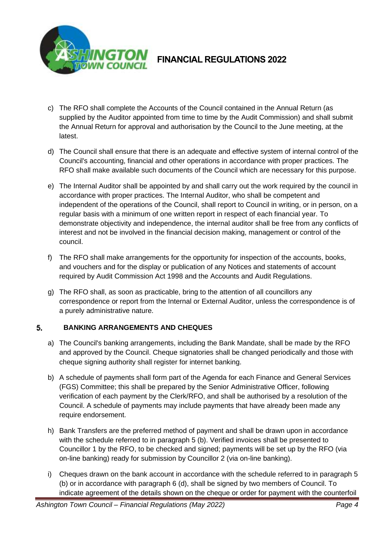

- c) The RFO shall complete the Accounts of the Council contained in the Annual Return (as supplied by the Auditor appointed from time to time by the Audit Commission) and shall submit the Annual Return for approval and authorisation by the Council to the June meeting, at the latest.
- d) The Council shall ensure that there is an adequate and effective system of internal control of the Council's accounting, financial and other operations in accordance with proper practices. The RFO shall make available such documents of the Council which are necessary for this purpose.
- e) The Internal Auditor shall be appointed by and shall carry out the work required by the council in accordance with proper practices. The Internal Auditor, who shall be competent and independent of the operations of the Council, shall report to Council in writing, or in person, on a regular basis with a minimum of one written report in respect of each financial year. To demonstrate objectivity and independence, the internal auditor shall be free from any conflicts of interest and not be involved in the financial decision making, management or control of the council.
- f) The RFO shall make arrangements for the opportunity for inspection of the accounts, books, and vouchers and for the display or publication of any Notices and statements of account required by Audit Commission Act 1998 and the Accounts and Audit Regulations.
- g) The RFO shall, as soon as practicable, bring to the attention of all councillors any correspondence or report from the Internal or External Auditor, unless the correspondence is of a purely administrative nature.

### 5. **BANKING ARRANGEMENTS AND CHEQUES**

- a) The Council's banking arrangements, including the Bank Mandate, shall be made by the RFO and approved by the Council. Cheque signatories shall be changed periodically and those with cheque signing authority shall register for internet banking.
- b) A schedule of payments shall form part of the Agenda for each Finance and General Services (FGS) Committee; this shall be prepared by the Senior Administrative Officer, following verification of each payment by the Clerk/RFO, and shall be authorised by a resolution of the Council. A schedule of payments may include payments that have already been made any require endorsement.
- h) Bank Transfers are the preferred method of payment and shall be drawn upon in accordance with the schedule referred to in paragraph 5 (b). Verified invoices shall be presented to Councillor 1 by the RFO, to be checked and signed; payments will be set up by the RFO (via on-line banking) ready for submission by Councillor 2 (via on-line banking).
- i) Cheques drawn on the bank account in accordance with the schedule referred to in paragraph 5 (b) or in accordance with paragraph 6 (d), shall be signed by two members of Council. To indicate agreement of the details shown on the cheque or order for payment with the counterfoil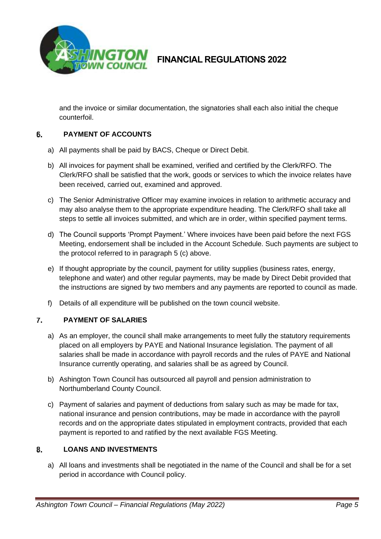

and the invoice or similar documentation, the signatories shall each also initial the cheque counterfoil.

### 6. **PAYMENT OF ACCOUNTS**

- a) All payments shall be paid by BACS, Cheque or Direct Debit.
- b) All invoices for payment shall be examined, verified and certified by the Clerk/RFO. The Clerk/RFO shall be satisfied that the work, goods or services to which the invoice relates have been received, carried out, examined and approved.
- c) The Senior Administrative Officer may examine invoices in relation to arithmetic accuracy and may also analyse them to the appropriate expenditure heading. The Clerk/RFO shall take all steps to settle all invoices submitted, and which are in order, within specified payment terms.
- d) The Council supports 'Prompt Payment.' Where invoices have been paid before the next FGS Meeting, endorsement shall be included in the Account Schedule. Such payments are subject to the protocol referred to in paragraph 5 (c) above.
- e) If thought appropriate by the council, payment for utility supplies (business rates, energy, telephone and water) and other regular payments, may be made by Direct Debit provided that the instructions are signed by two members and any payments are reported to council as made.
- f) Details of all expenditure will be published on the town council website.

### 7. **PAYMENT OF SALARIES**

- a) As an employer, the council shall make arrangements to meet fully the statutory requirements placed on all employers by PAYE and National Insurance legislation. The payment of all salaries shall be made in accordance with payroll records and the rules of PAYE and National Insurance currently operating, and salaries shall be as agreed by Council.
- b) Ashington Town Council has outsourced all payroll and pension administration to Northumberland County Council.
- c) Payment of salaries and payment of deductions from salary such as may be made for tax, national insurance and pension contributions, may be made in accordance with the payroll records and on the appropriate dates stipulated in employment contracts, provided that each payment is reported to and ratified by the next available FGS Meeting.

### <span id="page-4-0"></span>**LOANS AND INVESTMENTS** 8.

a) All loans and investments shall be negotiated in the name of the Council and shall be for a set period in accordance with Council policy.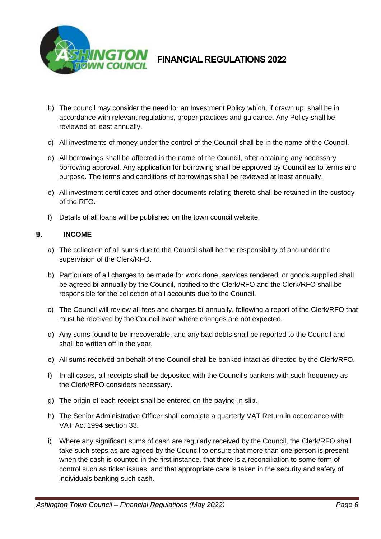

- b) The council may consider the need for an Investment Policy which, if drawn up, shall be in accordance with relevant regulations, proper practices and guidance. Any Policy shall be reviewed at least annually.
- c) All investments of money under the control of the Council shall be in the name of the Council.
- d) All borrowings shall be affected in the name of the Council, after obtaining any necessary borrowing approval. Any application for borrowing shall be approved by Council as to terms and purpose. The terms and conditions of borrowings shall be reviewed at least annually.
- e) All investment certificates and other documents relating thereto shall be retained in the custody of the RFO.
- f) Details of all loans will be published on the town council website.

### 9. **INCOME**

- a) The collection of all sums due to the Council shall be the responsibility of and under the supervision of the Clerk/RFO.
- b) Particulars of all charges to be made for work done, services rendered, or goods supplied shall be agreed bi-annually by the Council, notified to the Clerk/RFO and the Clerk/RFO shall be responsible for the collection of all accounts due to the Council.
- c) The Council will review all fees and charges bi-annually, following a report of the Clerk/RFO that must be received by the Council even where changes are not expected.
- d) Any sums found to be irrecoverable, and any bad debts shall be reported to the Council and shall be written off in the year.
- e) All sums received on behalf of the Council shall be banked intact as directed by the Clerk/RFO.
- f) In all cases, all receipts shall be deposited with the Council's bankers with such frequency as the Clerk/RFO considers necessary.
- g) The origin of each receipt shall be entered on the paying-in slip.
- h) The Senior Administrative Officer shall complete a quarterly VAT Return in accordance with VAT Act 1994 section 33.
- i) Where any significant sums of cash are regularly received by the Council, the Clerk/RFO shall take such steps as are agreed by the Council to ensure that more than one person is present when the cash is counted in the first instance, that there is a reconciliation to some form of control such as ticket issues, and that appropriate care is taken in the security and safety of individuals banking such cash.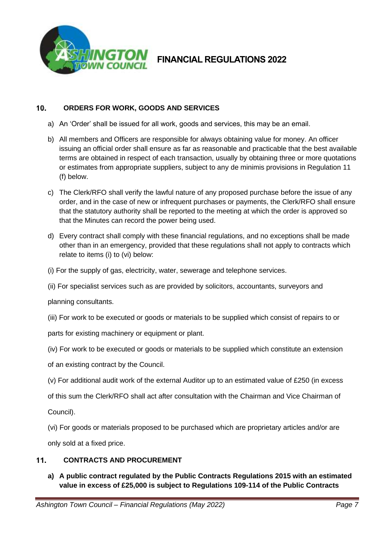

### 10. **ORDERS FOR WORK, GOODS AND SERVICES**

- a) An 'Order' shall be issued for all work, goods and services, this may be an email.
- b) All members and Officers are responsible for always obtaining value for money. An officer issuing an official order shall ensure as far as reasonable and practicable that the best available terms are obtained in respect of each transaction, usually by obtaining three or more quotations or estimates from appropriate suppliers, subject to any de minimis provisions in Regulation 11 (f) below.
- c) The Clerk/RFO shall verify the lawful nature of any proposed purchase before the issue of any order, and in the case of new or infrequent purchases or payments, the Clerk/RFO shall ensure that the statutory authority shall be reported to the meeting at which the order is approved so that the Minutes can record the power being used.
- d) Every contract shall comply with these financial regulations, and no exceptions shall be made other than in an emergency, provided that these regulations shall not apply to contracts which relate to items (i) to (vi) below:
- (i) For the supply of gas, electricity, water, sewerage and telephone services.
- (ii) For specialist services such as are provided by solicitors, accountants, surveyors and

planning consultants.

- (iii) For work to be executed or goods or materials to be supplied which consist of repairs to or
- parts for existing machinery or equipment or plant.
- (iv) For work to be executed or goods or materials to be supplied which constitute an extension
- of an existing contract by the Council.
- (v) For additional audit work of the external Auditor up to an estimated value of £250 (in excess
- of this sum the Clerk/RFO shall act after consultation with the Chairman and Vice Chairman of
- Council).
- (vi) For goods or materials proposed to be purchased which are proprietary articles and/or are only sold at a fixed price.

### $11<sub>1</sub>$ **CONTRACTS AND PROCUREMENT**

**a) A public contract regulated by the Public Contracts Regulations 2015 with an estimated value in excess of £25,000 is subject to Regulations 109-114 of the Public Contracts**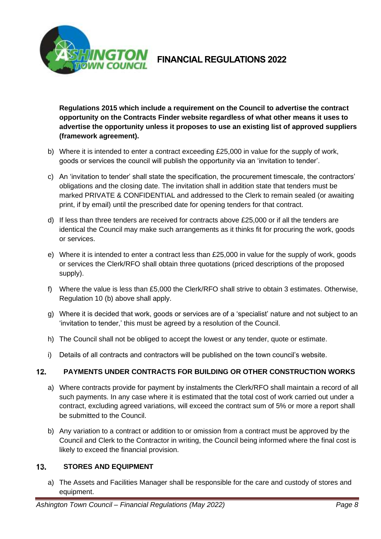

**Regulations 2015 which include a requirement on the Council to advertise the contract opportunity on the Contracts Finder website regardless of what other means it uses to advertise the opportunity unless it proposes to use an existing list of approved suppliers (framework agreement).**

- b) Where it is intended to enter a contract exceeding £25,000 in value for the supply of work, goods or services the council will publish the opportunity via an 'invitation to tender'.
- c) An 'invitation to tender' shall state the specification, the procurement timescale, the contractors' obligations and the closing date. The invitation shall in addition state that tenders must be marked PRIVATE & CONFIDENTIAL and addressed to the Clerk to remain sealed (or awaiting print, if by email) until the prescribed date for opening tenders for that contract.
- d) If less than three tenders are received for contracts above £25,000 or if all the tenders are identical the Council may make such arrangements as it thinks fit for procuring the work, goods or services.
- e) Where it is intended to enter a contract less than £25,000 in value for the supply of work, goods or services the Clerk/RFO shall obtain three quotations (priced descriptions of the proposed supply).
- f) Where the value is less than £5,000 the Clerk/RFO shall strive to obtain 3 estimates. Otherwise, Regulation 10 (b) above shall apply.
- g) Where it is decided that work, goods or services are of a 'specialist' nature and not subject to an 'invitation to tender,' this must be agreed by a resolution of the Council.
- h) The Council shall not be obliged to accept the lowest or any tender, quote or estimate.
- i) Details of all contracts and contractors will be published on the town council's website.

### $12.$ **PAYMENTS UNDER CONTRACTS FOR BUILDING OR OTHER CONSTRUCTION WORKS**

- a) Where contracts provide for payment by instalments the Clerk/RFO shall maintain a record of all such payments. In any case where it is estimated that the total cost of work carried out under a contract, excluding agreed variations, will exceed the contract sum of 5% or more a report shall be submitted to the Council.
- b) Any variation to a contract or addition to or omission from a contract must be approved by the Council and Clerk to the Contractor in writing, the Council being informed where the final cost is likely to exceed the financial provision.

### $13.$ **STORES AND EQUIPMENT**

a) The Assets and Facilities Manager shall be responsible for the care and custody of stores and equipment.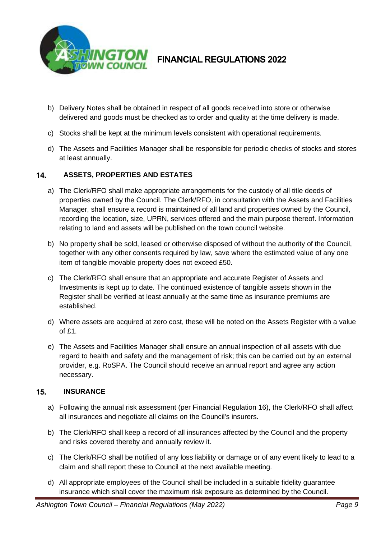

- b) Delivery Notes shall be obtained in respect of all goods received into store or otherwise delivered and goods must be checked as to order and quality at the time delivery is made.
- c) Stocks shall be kept at the minimum levels consistent with operational requirements.
- d) The Assets and Facilities Manager shall be responsible for periodic checks of stocks and stores at least annually.

### 14. **ASSETS, PROPERTIES AND ESTATES**

- a) The Clerk/RFO shall make appropriate arrangements for the custody of all title deeds of properties owned by the Council. The Clerk/RFO, in consultation with the Assets and Facilities Manager, shall ensure a record is maintained of all land and properties owned by the Council, recording the location, size, UPRN, services offered and the main purpose thereof. Information relating to land and assets will be published on the town council website.
- b) No property shall be sold, leased or otherwise disposed of without the authority of the Council, together with any other consents required by law, save where the estimated value of any one item of tangible movable property does not exceed £50.
- c) The Clerk/RFO shall ensure that an appropriate and accurate Register of Assets and Investments is kept up to date. The continued existence of tangible assets shown in the Register shall be verified at least annually at the same time as insurance premiums are established.
- d) Where assets are acquired at zero cost, these will be noted on the Assets Register with a value of £1.
- e) The Assets and Facilities Manager shall ensure an annual inspection of all assets with due regard to health and safety and the management of risk; this can be carried out by an external provider, e.g. RoSPA. The Council should receive an annual report and agree any action necessary.

### $15.$ **INSURANCE**

- a) Following the annual risk assessment (per Financial Regulation 16), the Clerk/RFO shall affect all insurances and negotiate all claims on the Council's insurers.
- b) The Clerk/RFO shall keep a record of all insurances affected by the Council and the property and risks covered thereby and annually review it.
- c) The Clerk/RFO shall be notified of any loss liability or damage or of any event likely to lead to a claim and shall report these to Council at the next available meeting.
- d) All appropriate employees of the Council shall be included in a suitable fidelity guarantee insurance which shall cover the maximum risk exposure as determined by the Council.